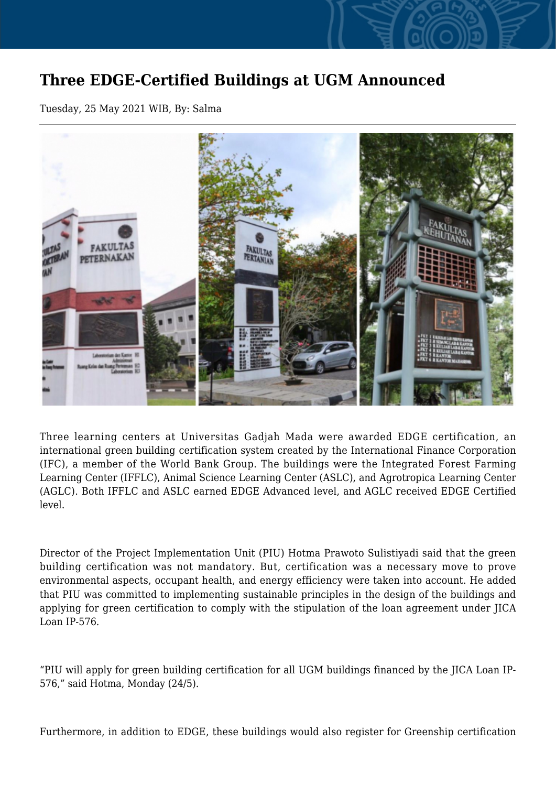## **Three EDGE-Certified Buildings at UGM Announced**

Tuesday, 25 May 2021 WIB, By: Salma



Three learning centers at Universitas Gadjah Mada were awarded EDGE certification, an international green building certification system created by the International Finance Corporation (IFC), a member of the World Bank Group. The buildings were the Integrated Forest Farming Learning Center (IFFLC), Animal Science Learning Center (ASLC), and Agrotropica Learning Center (AGLC). Both IFFLC and ASLC earned EDGE Advanced level, and AGLC received EDGE Certified level.

Director of the Project Implementation Unit (PIU) Hotma Prawoto Sulistiyadi said that the green building certification was not mandatory. But, certification was a necessary move to prove environmental aspects, occupant health, and energy efficiency were taken into account. He added that PIU was committed to implementing sustainable principles in the design of the buildings and applying for green certification to comply with the stipulation of the loan agreement under JICA Loan IP-576.

"PIU will apply for green building certification for all UGM buildings financed by the JICA Loan IP-576," said Hotma, Monday (24/5).

Furthermore, in addition to EDGE, these buildings would also register for Greenship certification